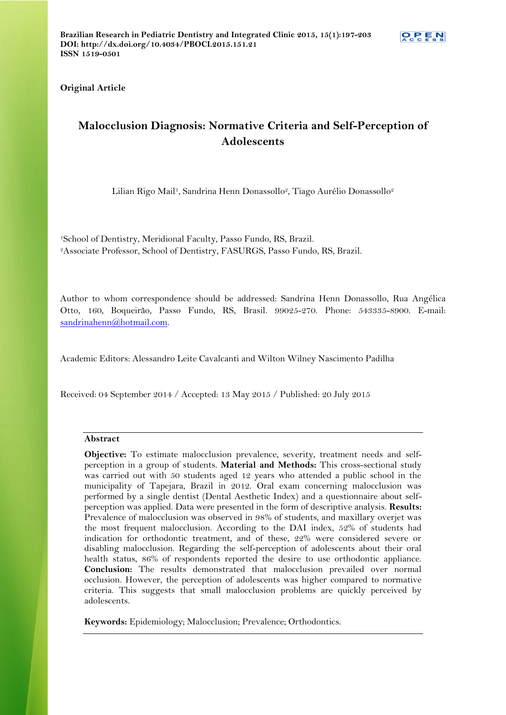**Original Article**

# **Malocclusion Diagnosis: Normative Criteria and Self-Perception of Adolescents**

Lilian Rigo Mail<sup>1</sup>, Sandrina Henn Donassollo<sup>2</sup>, Tiago Aurélio Donassollo<sup>2</sup>

<sup>1</sup>School of Dentistry, Meridional Faculty, Passo Fundo, RS, Brazil. <sup>2</sup>Associate Professor, School of Dentistry, FASURGS, Passo Fundo, RS, Brazil.

Author to whom correspondence should be addressed: Sandrina Henn Donassollo, Rua Angélica Otto, 160, Boqueirão, Passo Fundo, RS, Brasil. 99025-270. Phone: 543335-8900. E-mail: [sandrinahenn@hotmail.com.](mailto:sandrinahenn@hotmail.com)

Academic Editors: Alessandro Leite Cavalcanti and Wilton Wilney Nascimento Padilha

Received: 04 September 2014 / Accepted: 13 May 2015 / Published: 20 July 2015

# **Abstract**

**Objective:** To estimate malocclusion prevalence, severity, treatment needs and selfperception in a group of students. **Material and Methods:** This cross-sectional study was carried out with 50 students aged 12 years who attended a public school in the municipality of Tapejara, Brazil in 2012. Oral exam concerning malocclusion was performed by a single dentist (Dental Aesthetic Index) and a questionnaire about selfperception was applied. Data were presented in the form of descriptive analysis. **Results:** Prevalence of malocclusion was observed in 98% of students, and maxillary overjet was the most frequent malocclusion. According to the DAI index, 52% of students had indication for orthodontic treatment, and of these, 22% were considered severe or disabling malocclusion. Regarding the self-perception of adolescents about their oral health status, 86% of respondents reported the desire to use orthodontic appliance. **Conclusion:** The results demonstrated that malocclusion prevailed over normal occlusion. However, the perception of adolescents was higher compared to normative criteria. This suggests that small malocclusion problems are quickly perceived by adolescents.

**Keywords:** Epidemiology; Malocclusion; Prevalence; Orthodontics.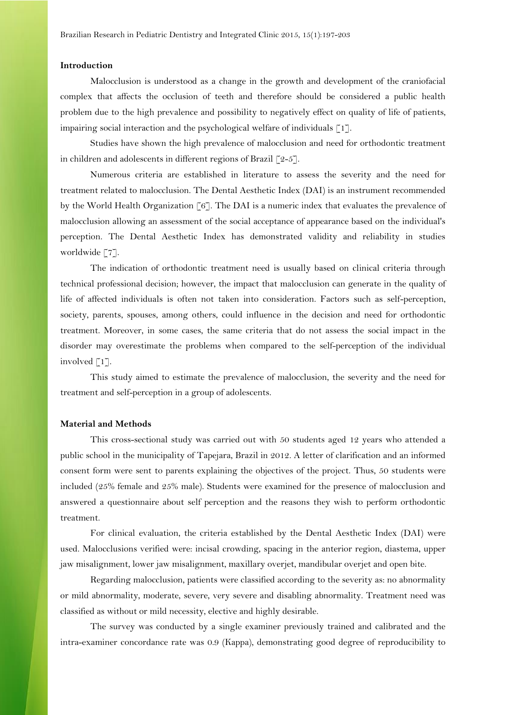### **Introduction**

Malocclusion is understood as a change in the growth and development of the craniofacial complex that affects the occlusion of teeth and therefore should be considered a public health problem due to the high prevalence and possibility to negatively effect on quality of life of patients, impairing social interaction and the psychological welfare of individuals  $\lceil 1 \rceil$ .

Studies have shown the high prevalence of malocclusion and need for orthodontic treatment in children and adolescents in different regions of Brazil  $\lceil 2-5 \rceil$ .

Numerous criteria are established in literature to assess the severity and the need for treatment related to malocclusion. The Dental Aesthetic Index (DAI) is an instrument recommended by the World Health Organization [6]. The DAI is a numeric index that evaluates the prevalence of malocclusion allowing an assessment of the social acceptance of appearance based on the individual's perception. The Dental Aesthetic Index has demonstrated validity and reliability in studies worldwide [7].

The indication of orthodontic treatment need is usually based on clinical criteria through technical professional decision; however, the impact that malocclusion can generate in the quality of life of affected individuals is often not taken into consideration. Factors such as self-perception, society, parents, spouses, among others, could influence in the decision and need for orthodontic treatment. Moreover, in some cases, the same criteria that do not assess the social impact in the disorder may overestimate the problems when compared to the self-perception of the individual involved [1].

This study aimed to estimate the prevalence of malocclusion, the severity and the need for treatment and self-perception in a group of adolescents.

#### **Material and Methods**

This cross-sectional study was carried out with 50 students aged 12 years who attended a public school in the municipality of Tapejara, Brazil in 2012. A letter of clarification and an informed consent form were sent to parents explaining the objectives of the project. Thus, 50 students were included (25% female and 25% male). Students were examined for the presence of malocclusion and answered a questionnaire about self perception and the reasons they wish to perform orthodontic treatment.

For clinical evaluation, the criteria established by the Dental Aesthetic Index (DAI) were used. Malocclusions verified were: incisal crowding, spacing in the anterior region, diastema, upper jaw misalignment, lower jaw misalignment, maxillary overjet, mandibular overjet and open bite.

Regarding malocclusion, patients were classified according to the severity as: no abnormality or mild abnormality, moderate, severe, very severe and disabling abnormality. Treatment need was classified as without or mild necessity, elective and highly desirable.

The survey was conducted by a single examiner previously trained and calibrated and the intra-examiner concordance rate was 0.9 (Kappa), demonstrating good degree of reproducibility to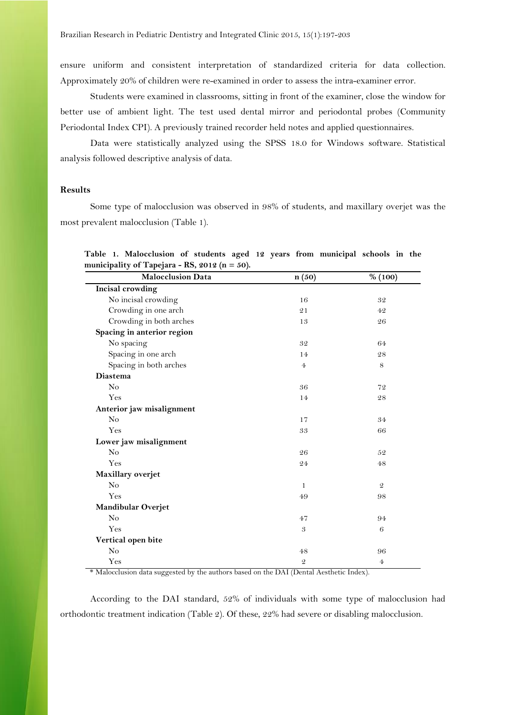ensure uniform and consistent interpretation of standardized criteria for data collection. Approximately 20% of children were re-examined in order to assess the intra-examiner error.

Students were examined in classrooms, sitting in front of the examiner, close the window for better use of ambient light. The test used dental mirror and periodontal probes (Community Periodontal Index CPI). A previously trained recorder held notes and applied questionnaires.

Data were statistically analyzed using the SPSS 18.0 for Windows software. Statistical analysis followed descriptive analysis of data.

# **Results**

Some type of malocclusion was observed in 98% of students, and maxillary overjet was the most prevalent malocclusion (Table 1).

| 1 J<br><b>Malocclusion Data</b> | n(50)          | % (100)        |
|---------------------------------|----------------|----------------|
| Incisal crowding                |                |                |
| No incisal crowding             | 16             | 32             |
| Crowding in one arch            | 21             | 42             |
| Crowding in both arches         | 13             | 26             |
| Spacing in anterior region      |                |                |
| No spacing                      | 32             | 64             |
| Spacing in one arch             | 14             | $\sqrt{28}$    |
| Spacing in both arches          | $\overline{4}$ | $\,8\,$        |
| <b>Diastema</b>                 |                |                |
| No                              | 36             | 72             |
| Yes                             | 14             | $\sqrt{28}$    |
| Anterior jaw misalignment       |                |                |
| No                              | 17             | 34             |
| Yes                             | 33             | 66             |
| Lower jaw misalignment          |                |                |
| No                              | 26             | 52             |
| Yes                             | 24             | 48             |
| Maxillary overjet               |                |                |
| N <sub>o</sub>                  | 1              | $\mathfrak{2}$ |
| Yes                             | 49             | 98             |
| Mandibular Overjet              |                |                |
| N <sub>o</sub>                  | 47             | 94             |
| Yes                             | $\mathfrak{B}$ | $\,6$          |
| Vertical open bite              |                |                |
| No                              | $\bf 48$       | 96             |
| Yes                             | $\mathcal Q$   | $\overline{4}$ |

**Table 1. Malocclusion of students aged 12 years from municipal schools in the**  municipality of Tapejara -  $RS$ , 2012 ( $n = 50$ ).

\* Malocclusion data suggested by the authors based on the DAI (Dental Aesthetic Index).

According to the DAI standard, 52% of individuals with some type of malocclusion had orthodontic treatment indication (Table 2). Of these, 22% had severe or disabling malocclusion.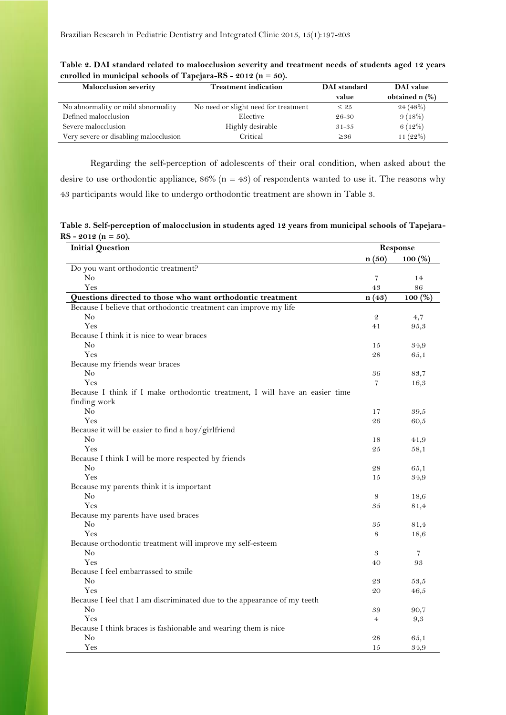| <b>Malocclusion severity</b>          | <b>Treatment indication</b>          | DAI standard | DAI value      |
|---------------------------------------|--------------------------------------|--------------|----------------|
|                                       |                                      | value        | obtained n (%) |
| No abnormality or mild abnormality    | No need or slight need for treatment | $\leq 25$    | 24(48%)        |
| Defined malocclusion                  | Elective                             | 26-30        | 9(18%)         |
| Severe malocclusion                   | Highly desirable                     | $31 - 35$    | $6(12\%)$      |
| Very severe or disabling malocclusion | Critical                             | $\geq 36$    | 11 $(22%)$     |

**Table 2. DAI standard related to malocclusion severity and treatment needs of students aged 12 years enrolled in municipal schools of Tapejara-RS - 2012 (n = 50).**

Regarding the self-perception of adolescents of their oral condition, when asked about the desire to use orthodontic appliance,  $86\%$  (n = 43) of respondents wanted to use it. The reasons why 43 participants would like to undergo orthodontic treatment are shown in Table 3.

**Table 3. Self-perception of malocclusion in students aged 12 years from municipal schools of Tapejara-RS - 2012 (n = 50).**

| <b>Initial Question</b>                                                                     |                | Response   |  |
|---------------------------------------------------------------------------------------------|----------------|------------|--|
|                                                                                             | n(50)          | $100\ (%)$ |  |
| Do you want orthodontic treatment?                                                          |                |            |  |
| No                                                                                          | 7              | 14         |  |
| Yes                                                                                         | 43             | 86         |  |
| Questions directed to those who want orthodontic treatment                                  | n(43)          | 100(%)     |  |
| Because I believe that orthodontic treatment can improve my life                            |                |            |  |
| No                                                                                          | $\mathfrak{D}$ | 4,7        |  |
| Yes                                                                                         | 41             | 95,3       |  |
| Because I think it is nice to wear braces                                                   |                |            |  |
| No                                                                                          | 15             | 34,9       |  |
| Yes                                                                                         | 28             | 65,1       |  |
| Because my friends wear braces                                                              |                |            |  |
| No                                                                                          | 36             | 83,7       |  |
| Yes                                                                                         | 7              | 16,3       |  |
| Because I think if I make orthodontic treatment, I will have an easier time<br>finding work |                |            |  |
| $\rm No$                                                                                    | 17             | 39,5       |  |
| Yes                                                                                         | 26             | 60,5       |  |
| Because it will be easier to find a boy/girlfriend                                          |                |            |  |
| No                                                                                          | 18             | 41,9       |  |
| Yes                                                                                         | 25             | 58,1       |  |
| Because I think I will be more respected by friends                                         |                |            |  |
| No                                                                                          | 28             | 65,1       |  |
| Yes                                                                                         | 15             | 34,9       |  |
| Because my parents think it is important                                                    |                |            |  |
| No                                                                                          | 8              | 18,6       |  |
| Yes                                                                                         | 35             | 81,4       |  |
| Because my parents have used braces                                                         |                |            |  |
| No                                                                                          | 35             | 81,4       |  |
| Yes                                                                                         | 8              | 18,6       |  |
| Because orthodontic treatment will improve my self-esteem                                   |                |            |  |
| No                                                                                          | 3              | 7          |  |
| Yes                                                                                         | 40             | 93         |  |
| Because I feel embarrassed to smile                                                         |                |            |  |
| No                                                                                          | 23             | 53,5       |  |
| Yes                                                                                         | 20             | 46,5       |  |
| Because I feel that I am discriminated due to the appearance of my teeth                    |                |            |  |
| N <sub>0</sub>                                                                              | 39             | 90,7       |  |
| Yes                                                                                         | 4              | 9,3        |  |
| Because I think braces is fashionable and wearing them is nice                              |                |            |  |
| No                                                                                          | 28             | 65,1       |  |
| Yes                                                                                         | 15             | 34,9       |  |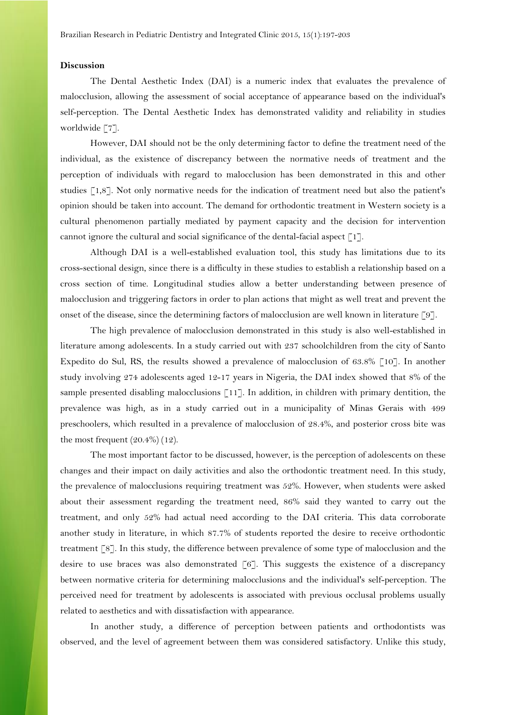### **Discussion**

The Dental Aesthetic Index (DAI) is a numeric index that evaluates the prevalence of malocclusion, allowing the assessment of social acceptance of appearance based on the individual's self-perception. The Dental Aesthetic Index has demonstrated validity and reliability in studies worldwide [7].

However, DAI should not be the only determining factor to define the treatment need of the individual, as the existence of discrepancy between the normative needs of treatment and the perception of individuals with regard to malocclusion has been demonstrated in this and other studies [1,8]. Not only normative needs for the indication of treatment need but also the patient's opinion should be taken into account. The demand for orthodontic treatment in Western society is a cultural phenomenon partially mediated by payment capacity and the decision for intervention cannot ignore the cultural and social significance of the dental-facial aspect [1].

Although DAI is a well-established evaluation tool, this study has limitations due to its cross-sectional design, since there is a difficulty in these studies to establish a relationship based on a cross section of time. Longitudinal studies allow a better understanding between presence of malocclusion and triggering factors in order to plan actions that might as well treat and prevent the onset of the disease, since the determining factors of malocclusion are well known in literature [9].

The high prevalence of malocclusion demonstrated in this study is also well-established in literature among adolescents. In a study carried out with 237 schoolchildren from the city of Santo Expedito do Sul, RS, the results showed a prevalence of malocclusion of 63.8% [10]. In another study involving 274 adolescents aged 12-17 years in Nigeria, the DAI index showed that 8% of the sample presented disabling malocclusions [11]. In addition, in children with primary dentition, the prevalence was high, as in a study carried out in a municipality of Minas Gerais with 499 preschoolers, which resulted in a prevalence of malocclusion of 28.4%, and posterior cross bite was the most frequent  $(20.4\%)$  (12).

The most important factor to be discussed, however, is the perception of adolescents on these changes and their impact on daily activities and also the orthodontic treatment need. In this study, the prevalence of malocclusions requiring treatment was 52%. However, when students were asked about their assessment regarding the treatment need, 86% said they wanted to carry out the treatment, and only 52% had actual need according to the DAI criteria. This data corroborate another study in literature, in which 87.7% of students reported the desire to receive orthodontic treatment [8]. In this study, the difference between prevalence of some type of malocclusion and the desire to use braces was also demonstrated  $\lceil 6 \rceil$ . This suggests the existence of a discrepancy between normative criteria for determining malocclusions and the individual's self-perception. The perceived need for treatment by adolescents is associated with previous occlusal problems usually related to aesthetics and with dissatisfaction with appearance.

In another study, a difference of perception between patients and orthodontists was observed, and the level of agreement between them was considered satisfactory. Unlike this study,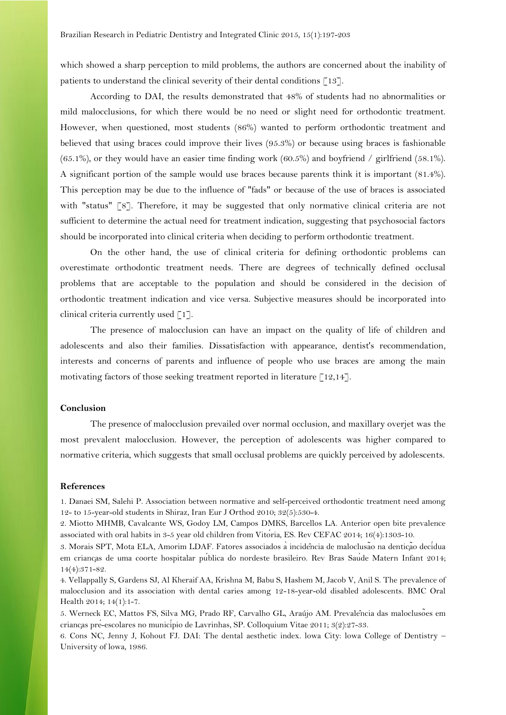which showed a sharp perception to mild problems, the authors are concerned about the inability of patients to understand the clinical severity of their dental conditions [13].

According to DAI, the results demonstrated that 48% of students had no abnormalities or mild malocclusions, for which there would be no need or slight need for orthodontic treatment. However, when questioned, most students (86%) wanted to perform orthodontic treatment and believed that using braces could improve their lives (95.3%) or because using braces is fashionable (65.1%), or they would have an easier time finding work (60.5%) and boyfriend / girlfriend (58.1%). A significant portion of the sample would use braces because parents think it is important (81.4%). This perception may be due to the influence of "fads" or because of the use of braces is associated with "status" [8]. Therefore, it may be suggested that only normative clinical criteria are not sufficient to determine the actual need for treatment indication, suggesting that psychosocial factors should be incorporated into clinical criteria when deciding to perform orthodontic treatment.

On the other hand, the use of clinical criteria for defining orthodontic problems can overestimate orthodontic treatment needs. There are degrees of technically defined occlusal problems that are acceptable to the population and should be considered in the decision of orthodontic treatment indication and vice versa. Subjective measures should be incorporated into clinical criteria currently used [1].

The presence of malocclusion can have an impact on the quality of life of children and adolescents and also their families. Dissatisfaction with appearance, dentist's recommendation, interests and concerns of parents and influence of people who use braces are among the main motivating factors of those seeking treatment reported in literature  $\lceil 12,14 \rceil$ .

# **Conclusion**

The presence of malocclusion prevailed over normal occlusion, and maxillary overjet was the most prevalent malocclusion. However, the perception of adolescents was higher compared to normative criteria, which suggests that small occlusal problems are quickly perceived by adolescents.

#### **References**

1. Danaei SM, Salehi P. Association between normative and self-perceived orthodontic treatment need among 12- to 15-year-old students in Shiraz, Iran Eur J Orthod 2010; 32(5):530-4.

2. Miotto MHMB, Cavalcante WS, Godoy LM, Campos DMKS, Barcellos LA. Anterior open bite prevalence associated with oral habits in 3-5 year old children from Vitoria, ES. Rev CEFAC 2014; 16(4):1303-10.

3. Morais SPT, Mota ELA, Amorim LDAF. Fatores associados a incidência de maloclusão na denticão decidua em criancas de uma coorte hospitalar publica do nordeste brasileiro. Rev Bras Saude Matern Infant 2014; 14(4):371-82.

4. Vellappally S, Gardens SJ, Al Kheraif AA, Krishna M, Babu S, Hashem M, Jacob V, Anil S. The prevalence of malocclusion and its association with dental caries among 12-18-year-old disabled adolescents. BMC Oral Health 2014; 14(1):1-7.

5. Werneck EC, Mattos FS, Silva MG, Prado RF, Carvalho GL, Araújo AM. Prevalencia das maloclusões em criancas pre-escolares no município de Lavrinhas, SP. Colloquium Vitae 2011; 3(2):27-33.

6. Cons NC, Jenny J, Kohout FJ. DAI: The dental aesthetic index. lowa City: lowa College of Dentistry – University of lowa, 1986.